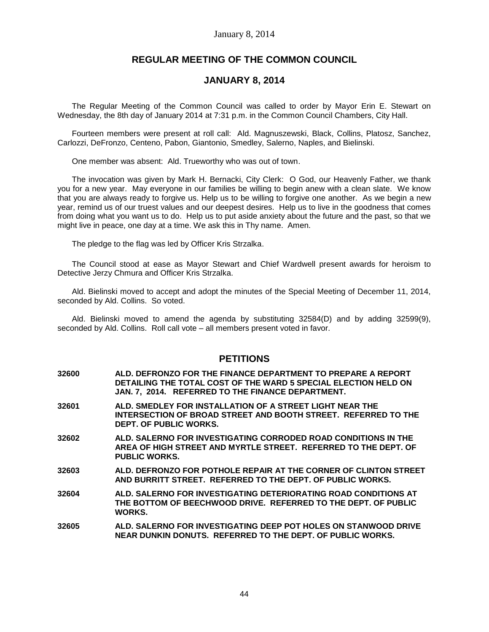# **REGULAR MEETING OF THE COMMON COUNCIL**

## **JANUARY 8, 2014**

The Regular Meeting of the Common Council was called to order by Mayor Erin E. Stewart on Wednesday, the 8th day of January 2014 at 7:31 p.m. in the Common Council Chambers, City Hall.

Fourteen members were present at roll call: Ald. Magnuszewski, Black, Collins, Platosz, Sanchez, Carlozzi, DeFronzo, Centeno, Pabon, Giantonio, Smedley, Salerno, Naples, and Bielinski.

One member was absent: Ald. Trueworthy who was out of town.

The invocation was given by Mark H. Bernacki, City Clerk: O God, our Heavenly Father, we thank you for a new year. May everyone in our families be willing to begin anew with a clean slate. We know that you are always ready to forgive us. Help us to be willing to forgive one another. As we begin a new year, remind us of our truest values and our deepest desires. Help us to live in the goodness that comes from doing what you want us to do. Help us to put aside anxiety about the future and the past, so that we might live in peace, one day at a time. We ask this in Thy name. Amen.

The pledge to the flag was led by Officer Kris Strzalka.

The Council stood at ease as Mayor Stewart and Chief Wardwell present awards for heroism to Detective Jerzy Chmura and Officer Kris Strzalka.

Ald. Bielinski moved to accept and adopt the minutes of the Special Meeting of December 11, 2014, seconded by Ald. Collins. So voted.

Ald. Bielinski moved to amend the agenda by substituting 32584(D) and by adding 32599(9), seconded by Ald. Collins. Roll call vote – all members present voted in favor.

## **PETITIONS**

- **32600 ALD. DEFRONZO FOR THE FINANCE DEPARTMENT TO PREPARE A REPORT DETAILING THE TOTAL COST OF THE WARD 5 SPECIAL ELECTION HELD ON JAN. 7, 2014. REFERRED TO THE FINANCE DEPARTMENT.**
- **32601 ALD. SMEDLEY FOR INSTALLATION OF A STREET LIGHT NEAR THE INTERSECTION OF BROAD STREET AND BOOTH STREET. REFERRED TO THE DEPT. OF PUBLIC WORKS.**
- **32602 ALD. SALERNO FOR INVESTIGATING CORRODED ROAD CONDITIONS IN THE AREA OF HIGH STREET AND MYRTLE STREET. REFERRED TO THE DEPT. OF PUBLIC WORKS.**
- **32603 ALD. DEFRONZO FOR POTHOLE REPAIR AT THE CORNER OF CLINTON STREET AND BURRITT STREET. REFERRED TO THE DEPT. OF PUBLIC WORKS.**
- **32604 ALD. SALERNO FOR INVESTIGATING DETERIORATING ROAD CONDITIONS AT THE BOTTOM OF BEECHWOOD DRIVE. REFERRED TO THE DEPT. OF PUBLIC WORKS.**
- **32605 ALD. SALERNO FOR INVESTIGATING DEEP POT HOLES ON STANWOOD DRIVE NEAR DUNKIN DONUTS. REFERRED TO THE DEPT. OF PUBLIC WORKS.**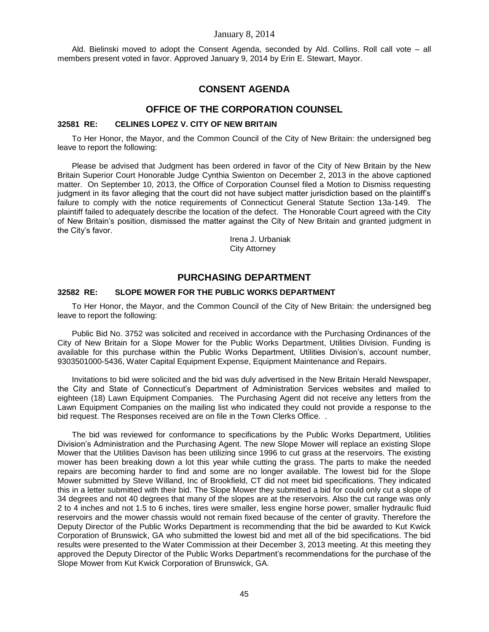Ald. Bielinski moved to adopt the Consent Agenda, seconded by Ald. Collins. Roll call vote – all members present voted in favor. Approved January 9, 2014 by Erin E. Stewart, Mayor.

# **CONSENT AGENDA**

## **OFFICE OF THE CORPORATION COUNSEL**

#### **32581 RE: CELINES LOPEZ V. CITY OF NEW BRITAIN**

To Her Honor, the Mayor, and the Common Council of the City of New Britain: the undersigned beg leave to report the following:

Please be advised that Judgment has been ordered in favor of the City of New Britain by the New Britain Superior Court Honorable Judge Cynthia Swienton on December 2, 2013 in the above captioned matter. On September 10, 2013, the Office of Corporation Counsel filed a Motion to Dismiss requesting judgment in its favor alleging that the court did not have subject matter jurisdiction based on the plaintiff's failure to comply with the notice requirements of Connecticut General Statute Section 13a-149. The plaintiff failed to adequately describe the location of the defect. The Honorable Court agreed with the City of New Britain's position, dismissed the matter against the City of New Britain and granted judgment in the City's favor.

> Irena J. Urbaniak City Attorney

## **PURCHASING DEPARTMENT**

#### **32582 RE: SLOPE MOWER FOR THE PUBLIC WORKS DEPARTMENT**

To Her Honor, the Mayor, and the Common Council of the City of New Britain: the undersigned beg leave to report the following:

Public Bid No. 3752 was solicited and received in accordance with the Purchasing Ordinances of the City of New Britain for a Slope Mower for the Public Works Department, Utilities Division. Funding is available for this purchase within the Public Works Department, Utilities Division's, account number, 9303501000-5436, Water Capital Equipment Expense, Equipment Maintenance and Repairs.

Invitations to bid were solicited and the bid was duly advertised in the New Britain Herald Newspaper, the City and State of Connecticut's Department of Administration Services websites and mailed to eighteen (18) Lawn Equipment Companies. The Purchasing Agent did not receive any letters from the Lawn Equipment Companies on the mailing list who indicated they could not provide a response to the bid request. The Responses received are on file in the Town Clerks Office. .

The bid was reviewed for conformance to specifications by the Public Works Department, Utilities Division's Administration and the Purchasing Agent. The new Slope Mower will replace an existing Slope Mower that the Utilities Davison has been utilizing since 1996 to cut grass at the reservoirs. The existing mower has been breaking down a lot this year while cutting the grass. The parts to make the needed repairs are becoming harder to find and some are no longer available. The lowest bid for the Slope Mower submitted by Steve Willand, Inc of Brookfield, CT did not meet bid specifications. They indicated this in a letter submitted with their bid. The Slope Mower they submitted a bid for could only cut a slope of 34 degrees and not 40 degrees that many of the slopes are at the reservoirs. Also the cut range was only 2 to 4 inches and not 1.5 to 6 inches, tires were smaller, less engine horse power, smaller hydraulic fluid reservoirs and the mower chassis would not remain fixed because of the center of gravity. Therefore the Deputy Director of the Public Works Department is recommending that the bid be awarded to Kut Kwick Corporation of Brunswick, GA who submitted the lowest bid and met all of the bid specifications. The bid results were presented to the Water Commission at their December 3, 2013 meeting. At this meeting they approved the Deputy Director of the Public Works Department's recommendations for the purchase of the Slope Mower from Kut Kwick Corporation of Brunswick, GA.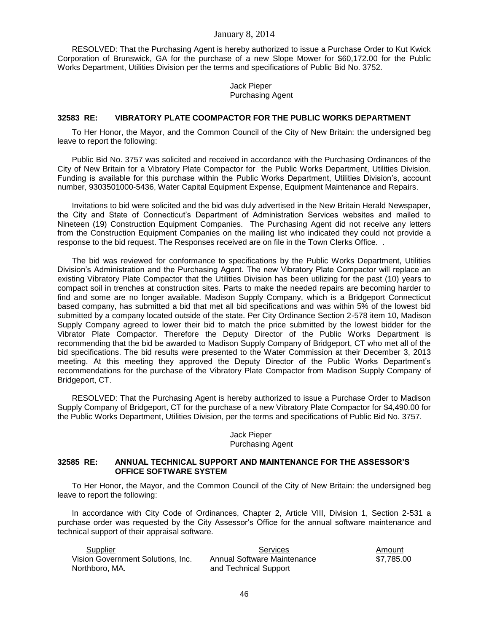RESOLVED: That the Purchasing Agent is hereby authorized to issue a Purchase Order to Kut Kwick Corporation of Brunswick, GA for the purchase of a new Slope Mower for \$60,172.00 for the Public Works Department, Utilities Division per the terms and specifications of Public Bid No. 3752.

> Jack Pieper Purchasing Agent

## **32583 RE: VIBRATORY PLATE COOMPACTOR FOR THE PUBLIC WORKS DEPARTMENT**

To Her Honor, the Mayor, and the Common Council of the City of New Britain: the undersigned beg leave to report the following:

Public Bid No. 3757 was solicited and received in accordance with the Purchasing Ordinances of the City of New Britain for a Vibratory Plate Compactor for the Public Works Department, Utilities Division. Funding is available for this purchase within the Public Works Department, Utilities Division's, account number, 9303501000-5436, Water Capital Equipment Expense, Equipment Maintenance and Repairs.

Invitations to bid were solicited and the bid was duly advertised in the New Britain Herald Newspaper, the City and State of Connecticut's Department of Administration Services websites and mailed to Nineteen (19) Construction Equipment Companies. The Purchasing Agent did not receive any letters from the Construction Equipment Companies on the mailing list who indicated they could not provide a response to the bid request. The Responses received are on file in the Town Clerks Office. .

The bid was reviewed for conformance to specifications by the Public Works Department, Utilities Division's Administration and the Purchasing Agent. The new Vibratory Plate Compactor will replace an existing Vibratory Plate Compactor that the Utilities Division has been utilizing for the past (10) years to compact soil in trenches at construction sites. Parts to make the needed repairs are becoming harder to find and some are no longer available. Madison Supply Company, which is a Bridgeport Connecticut based company, has submitted a bid that met all bid specifications and was within 5% of the lowest bid submitted by a company located outside of the state. Per City Ordinance Section 2-578 item 10, Madison Supply Company agreed to lower their bid to match the price submitted by the lowest bidder for the Vibrator Plate Compactor. Therefore the Deputy Director of the Public Works Department is recommending that the bid be awarded to Madison Supply Company of Bridgeport, CT who met all of the bid specifications. The bid results were presented to the Water Commission at their December 3, 2013 meeting. At this meeting they approved the Deputy Director of the Public Works Department's recommendations for the purchase of the Vibratory Plate Compactor from Madison Supply Company of Bridgeport, CT.

RESOLVED: That the Purchasing Agent is hereby authorized to issue a Purchase Order to Madison Supply Company of Bridgeport, CT for the purchase of a new Vibratory Plate Compactor for \$4,490.00 for the Public Works Department, Utilities Division, per the terms and specifications of Public Bid No. 3757.

#### Jack Pieper Purchasing Agent

#### **32585 RE: ANNUAL TECHNICAL SUPPORT AND MAINTENANCE FOR THE ASSESSOR'S OFFICE SOFTWARE SYSTEM**

To Her Honor, the Mayor, and the Common Council of the City of New Britain: the undersigned beg leave to report the following:

In accordance with City Code of Ordinances, Chapter 2, Article VIII, Division 1, Section 2-531 a purchase order was requested by the City Assessor's Office for the annual software maintenance and technical support of their appraisal software.

| Supplier                          | Services                    | Amount     |
|-----------------------------------|-----------------------------|------------|
| Vision Government Solutions, Inc. | Annual Software Maintenance | \$7.785.00 |
| Northboro, MA.                    | and Technical Support       |            |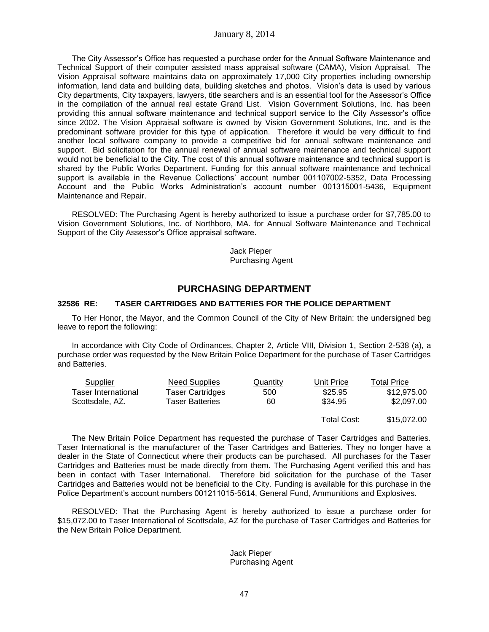The City Assessor's Office has requested a purchase order for the Annual Software Maintenance and Technical Support of their computer assisted mass appraisal software (CAMA), Vision Appraisal. The Vision Appraisal software maintains data on approximately 17,000 City properties including ownership information, land data and building data, building sketches and photos. Vision's data is used by various City departments, City taxpayers, lawyers, title searchers and is an essential tool for the Assessor's Office in the compilation of the annual real estate Grand List. Vision Government Solutions, Inc. has been providing this annual software maintenance and technical support service to the City Assessor's office since 2002. The Vision Appraisal software is owned by Vision Government Solutions, Inc. and is the predominant software provider for this type of application. Therefore it would be very difficult to find another local software company to provide a competitive bid for annual software maintenance and support. Bid solicitation for the annual renewal of annual software maintenance and technical support would not be beneficial to the City. The cost of this annual software maintenance and technical support is shared by the Public Works Department. Funding for this annual software maintenance and technical support is available in the Revenue Collections' account number 001107002-5352, Data Processing Account and the Public Works Administration's account number 001315001-5436, Equipment Maintenance and Repair.

RESOLVED: The Purchasing Agent is hereby authorized to issue a purchase order for \$7,785.00 to Vision Government Solutions, Inc. of Northboro, MA. for Annual Software Maintenance and Technical Support of the City Assessor's Office appraisal software.

> Jack Pieper Purchasing Agent

# **PURCHASING DEPARTMENT**

## **32586 RE: TASER CARTRIDGES AND BATTERIES FOR THE POLICE DEPARTMENT**

To Her Honor, the Mayor, and the Common Council of the City of New Britain: the undersigned beg leave to report the following:

In accordance with City Code of Ordinances, Chapter 2, Article VIII, Division 1, Section 2-538 (a), a purchase order was requested by the New Britain Police Department for the purchase of Taser Cartridges and Batteries.

| Supplier            | Need Supplies    | Quantity | Unit Price  | Total Price |
|---------------------|------------------|----------|-------------|-------------|
| Taser International | Taser Cartridges | 500      | \$25.95     | \$12,975.00 |
| Scottsdale, AZ.     | Taser Batteries  | 60       | \$34.95     | \$2,097.00  |
|                     |                  |          | Total Cost: | \$15,072,00 |

The New Britain Police Department has requested the purchase of Taser Cartridges and Batteries. Taser International is the manufacturer of the Taser Cartridges and Batteries. They no longer have a dealer in the State of Connecticut where their products can be purchased. All purchases for the Taser Cartridges and Batteries must be made directly from them. The Purchasing Agent verified this and has been in contact with Taser International. Therefore bid solicitation for the purchase of the Taser Cartridges and Batteries would not be beneficial to the City. Funding is available for this purchase in the Police Department's account numbers 001211015-5614, General Fund, Ammunitions and Explosives.

RESOLVED: That the Purchasing Agent is hereby authorized to issue a purchase order for \$15,072.00 to Taser International of Scottsdale, AZ for the purchase of Taser Cartridges and Batteries for the New Britain Police Department.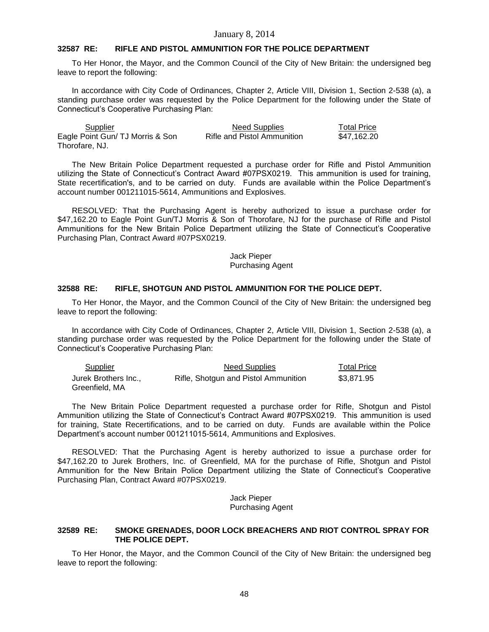### **32587 RE: RIFLE AND PISTOL AMMUNITION FOR THE POLICE DEPARTMENT**

To Her Honor, the Mayor, and the Common Council of the City of New Britain: the undersigned beg leave to report the following:

In accordance with City Code of Ordinances, Chapter 2, Article VIII, Division 1, Section 2-538 (a), a standing purchase order was requested by the Police Department for the following under the State of Connecticut's Cooperative Purchasing Plan:

| Supplier                         | <b>Need Supplies</b>        | <b>Total Price</b> |
|----------------------------------|-----------------------------|--------------------|
| Eagle Point Gun/ TJ Morris & Son | Rifle and Pistol Ammunition | \$47.162.20        |
| Thorofare, NJ.                   |                             |                    |

The New Britain Police Department requested a purchase order for Rifle and Pistol Ammunition utilizing the State of Connecticut's Contract Award #07PSX0219. This ammunition is used for training, State recertification's, and to be carried on duty. Funds are available within the Police Department's account number 001211015-5614, Ammunitions and Explosives.

RESOLVED: That the Purchasing Agent is hereby authorized to issue a purchase order for \$47,162.20 to Eagle Point Gun/TJ Morris & Son of Thorofare, NJ for the purchase of Rifle and Pistol Ammunitions for the New Britain Police Department utilizing the State of Connecticut's Cooperative Purchasing Plan, Contract Award #07PSX0219.

#### Jack Pieper Purchasing Agent

#### **32588 RE: RIFLE, SHOTGUN AND PISTOL AMMUNITION FOR THE POLICE DEPT.**

To Her Honor, the Mayor, and the Common Council of the City of New Britain: the undersigned beg leave to report the following:

In accordance with City Code of Ordinances, Chapter 2, Article VIII, Division 1, Section 2-538 (a), a standing purchase order was requested by the Police Department for the following under the State of Connecticut's Cooperative Purchasing Plan:

| <b>Supplier</b>                        | <b>Need Supplies</b>                 | <b>Total Price</b> |
|----------------------------------------|--------------------------------------|--------------------|
| Jurek Brothers Inc.,<br>Greenfield, MA | Rifle, Shotgun and Pistol Ammunition | \$3.871.95         |

The New Britain Police Department requested a purchase order for Rifle, Shotgun and Pistol Ammunition utilizing the State of Connecticut's Contract Award #07PSX0219. This ammunition is used for training, State Recertifications, and to be carried on duty. Funds are available within the Police Department's account number 001211015-5614, Ammunitions and Explosives.

RESOLVED: That the Purchasing Agent is hereby authorized to issue a purchase order for \$47,162.20 to Jurek Brothers, Inc. of Greenfield, MA for the purchase of Rifle, Shotgun and Pistol Ammunition for the New Britain Police Department utilizing the State of Connecticut's Cooperative Purchasing Plan, Contract Award #07PSX0219.

> Jack Pieper Purchasing Agent

#### **32589 RE: SMOKE GRENADES, DOOR LOCK BREACHERS AND RIOT CONTROL SPRAY FOR THE POLICE DEPT.**

To Her Honor, the Mayor, and the Common Council of the City of New Britain: the undersigned beg leave to report the following: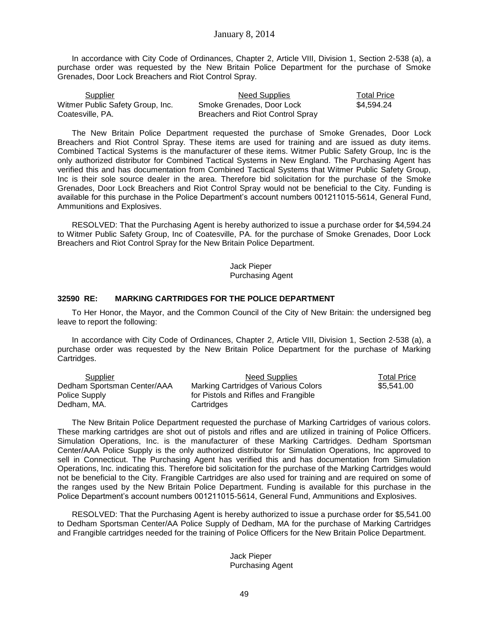In accordance with City Code of Ordinances, Chapter 2, Article VIII, Division 1, Section 2-538 (a), a purchase order was requested by the New Britain Police Department for the purchase of Smoke Grenades, Door Lock Breachers and Riot Control Spray.

| Supplier                         | Need Supplies                    | <b>Total Price</b> |
|----------------------------------|----------------------------------|--------------------|
| Witmer Public Safety Group, Inc. | Smoke Grenades, Door Lock        | \$4.594.24         |
| Coatesville, PA.                 | Breachers and Riot Control Spray |                    |

The New Britain Police Department requested the purchase of Smoke Grenades, Door Lock Breachers and Riot Control Spray. These items are used for training and are issued as duty items. Combined Tactical Systems is the manufacturer of these items. Witmer Public Safety Group, Inc is the only authorized distributor for Combined Tactical Systems in New England. The Purchasing Agent has verified this and has documentation from Combined Tactical Systems that Witmer Public Safety Group, Inc is their sole source dealer in the area. Therefore bid solicitation for the purchase of the Smoke Grenades, Door Lock Breachers and Riot Control Spray would not be beneficial to the City. Funding is available for this purchase in the Police Department's account numbers 001211015-5614, General Fund, Ammunitions and Explosives.

RESOLVED: That the Purchasing Agent is hereby authorized to issue a purchase order for \$4,594.24 to Witmer Public Safety Group, Inc of Coatesville, PA. for the purchase of Smoke Grenades, Door Lock Breachers and Riot Control Spray for the New Britain Police Department.

> Jack Pieper Purchasing Agent

## **32590 RE: MARKING CARTRIDGES FOR THE POLICE DEPARTMENT**

To Her Honor, the Mayor, and the Common Council of the City of New Britain: the undersigned beg leave to report the following:

In accordance with City Code of Ordinances, Chapter 2, Article VIII, Division 1, Section 2-538 (a), a purchase order was requested by the New Britain Police Department for the purchase of Marking Cartridges.

| Supplier                    | Need Supplies                        | <b>Total Price</b> |
|-----------------------------|--------------------------------------|--------------------|
| Dedham Sportsman Center/AAA | Marking Cartridges of Various Colors | \$5.541.00         |
| Police Supply               | for Pistols and Rifles and Frangible |                    |
| Dedham, MA.                 | Cartridges                           |                    |

The New Britain Police Department requested the purchase of Marking Cartridges of various colors. These marking cartridges are shot out of pistols and rifles and are utilized in training of Police Officers. Simulation Operations, Inc. is the manufacturer of these Marking Cartridges. Dedham Sportsman Center/AAA Police Supply is the only authorized distributor for Simulation Operations, Inc approved to sell in Connecticut. The Purchasing Agent has verified this and has documentation from Simulation Operations, Inc. indicating this. Therefore bid solicitation for the purchase of the Marking Cartridges would not be beneficial to the City. Frangible Cartridges are also used for training and are required on some of the ranges used by the New Britain Police Department. Funding is available for this purchase in the Police Department's account numbers 001211015-5614, General Fund, Ammunitions and Explosives.

RESOLVED: That the Purchasing Agent is hereby authorized to issue a purchase order for \$5,541.00 to Dedham Sportsman Center/AA Police Supply of Dedham, MA for the purchase of Marking Cartridges and Frangible cartridges needed for the training of Police Officers for the New Britain Police Department.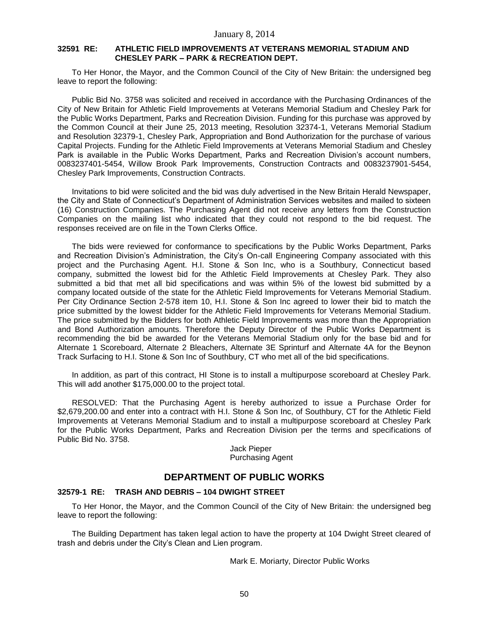### **32591 RE: ATHLETIC FIELD IMPROVEMENTS AT VETERANS MEMORIAL STADIUM AND CHESLEY PARK – PARK & RECREATION DEPT.**

To Her Honor, the Mayor, and the Common Council of the City of New Britain: the undersigned beg leave to report the following:

Public Bid No. 3758 was solicited and received in accordance with the Purchasing Ordinances of the City of New Britain for Athletic Field Improvements at Veterans Memorial Stadium and Chesley Park for the Public Works Department, Parks and Recreation Division. Funding for this purchase was approved by the Common Council at their June 25, 2013 meeting, Resolution 32374-1, Veterans Memorial Stadium and Resolution 32379-1, Chesley Park, Appropriation and Bond Authorization for the purchase of various Capital Projects. Funding for the Athletic Field Improvements at Veterans Memorial Stadium and Chesley Park is available in the Public Works Department, Parks and Recreation Division's account numbers, 0083237401-5454, Willow Brook Park Improvements, Construction Contracts and 0083237901-5454, Chesley Park Improvements, Construction Contracts.

Invitations to bid were solicited and the bid was duly advertised in the New Britain Herald Newspaper, the City and State of Connecticut's Department of Administration Services websites and mailed to sixteen (16) Construction Companies. The Purchasing Agent did not receive any letters from the Construction Companies on the mailing list who indicated that they could not respond to the bid request. The responses received are on file in the Town Clerks Office.

The bids were reviewed for conformance to specifications by the Public Works Department, Parks and Recreation Division's Administration, the City's On-call Engineering Company associated with this project and the Purchasing Agent. H.I. Stone & Son Inc, who is a Southbury, Connecticut based company, submitted the lowest bid for the Athletic Field Improvements at Chesley Park. They also submitted a bid that met all bid specifications and was within 5% of the lowest bid submitted by a company located outside of the state for the Athletic Field Improvements for Veterans Memorial Stadium. Per City Ordinance Section 2-578 item 10, H.I. Stone & Son Inc agreed to lower their bid to match the price submitted by the lowest bidder for the Athletic Field Improvements for Veterans Memorial Stadium. The price submitted by the Bidders for both Athletic Field Improvements was more than the Appropriation and Bond Authorization amounts. Therefore the Deputy Director of the Public Works Department is recommending the bid be awarded for the Veterans Memorial Stadium only for the base bid and for Alternate 1 Scoreboard, Alternate 2 Bleachers, Alternate 3E Sprinturf and Alternate 4A for the Beynon Track Surfacing to H.I. Stone & Son Inc of Southbury, CT who met all of the bid specifications.

In addition, as part of this contract, HI Stone is to install a multipurpose scoreboard at Chesley Park. This will add another \$175,000.00 to the project total.

RESOLVED: That the Purchasing Agent is hereby authorized to issue a Purchase Order for \$2,679,200.00 and enter into a contract with H.I. Stone & Son Inc, of Southbury, CT for the Athletic Field Improvements at Veterans Memorial Stadium and to install a multipurpose scoreboard at Chesley Park for the Public Works Department, Parks and Recreation Division per the terms and specifications of Public Bid No. 3758.

> Jack Pieper Purchasing Agent

## **DEPARTMENT OF PUBLIC WORKS**

## **32579-1 RE: TRASH AND DEBRIS – 104 DWIGHT STREET**

To Her Honor, the Mayor, and the Common Council of the City of New Britain: the undersigned beg leave to report the following:

The Building Department has taken legal action to have the property at 104 Dwight Street cleared of trash and debris under the City's Clean and Lien program.

Mark E. Moriarty, Director Public Works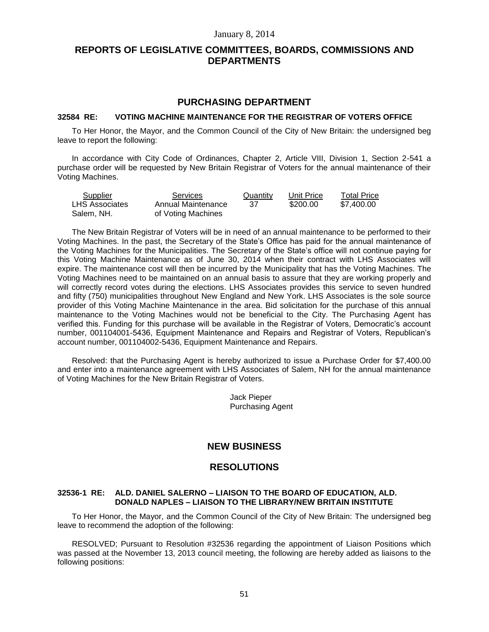# **REPORTS OF LEGISLATIVE COMMITTEES, BOARDS, COMMISSIONS AND DEPARTMENTS**

## **PURCHASING DEPARTMENT**

### **32584 RE: VOTING MACHINE MAINTENANCE FOR THE REGISTRAR OF VOTERS OFFICE**

To Her Honor, the Mayor, and the Common Council of the City of New Britain: the undersigned beg leave to report the following:

In accordance with City Code of Ordinances, Chapter 2, Article VIII, Division 1, Section 2-541 a purchase order will be requested by New Britain Registrar of Voters for the annual maintenance of their Voting Machines.

| Supplier              | Services           | Quantity | Unit Price | <b>Total Price</b> |
|-----------------------|--------------------|----------|------------|--------------------|
| <b>LHS Associates</b> | Annual Maintenance | 37       | \$200.00   | \$7.400.00         |
| Salem, NH.            | of Voting Machines |          |            |                    |

The New Britain Registrar of Voters will be in need of an annual maintenance to be performed to their Voting Machines. In the past, the Secretary of the State's Office has paid for the annual maintenance of the Voting Machines for the Municipalities. The Secretary of the State's office will not continue paying for this Voting Machine Maintenance as of June 30, 2014 when their contract with LHS Associates will expire. The maintenance cost will then be incurred by the Municipality that has the Voting Machines. The Voting Machines need to be maintained on an annual basis to assure that they are working properly and will correctly record votes during the elections. LHS Associates provides this service to seven hundred and fifty (750) municipalities throughout New England and New York. LHS Associates is the sole source provider of this Voting Machine Maintenance in the area. Bid solicitation for the purchase of this annual maintenance to the Voting Machines would not be beneficial to the City. The Purchasing Agent has verified this. Funding for this purchase will be available in the Registrar of Voters, Democratic's account number, 001104001-5436, Equipment Maintenance and Repairs and Registrar of Voters, Republican's account number, 001104002-5436, Equipment Maintenance and Repairs.

Resolved: that the Purchasing Agent is hereby authorized to issue a Purchase Order for \$7,400.00 and enter into a maintenance agreement with LHS Associates of Salem, NH for the annual maintenance of Voting Machines for the New Britain Registrar of Voters.

> Jack Pieper Purchasing Agent

## **NEW BUSINESS**

## **RESOLUTIONS**

### **32536-1 RE: ALD. DANIEL SALERNO – LIAISON TO THE BOARD OF EDUCATION, ALD. DONALD NAPLES – LIAISON TO THE LIBRARY/NEW BRITAIN INSTITUTE**

To Her Honor, the Mayor, and the Common Council of the City of New Britain: The undersigned beg leave to recommend the adoption of the following:

RESOLVED; Pursuant to Resolution #32536 regarding the appointment of Liaison Positions which was passed at the November 13, 2013 council meeting, the following are hereby added as liaisons to the following positions: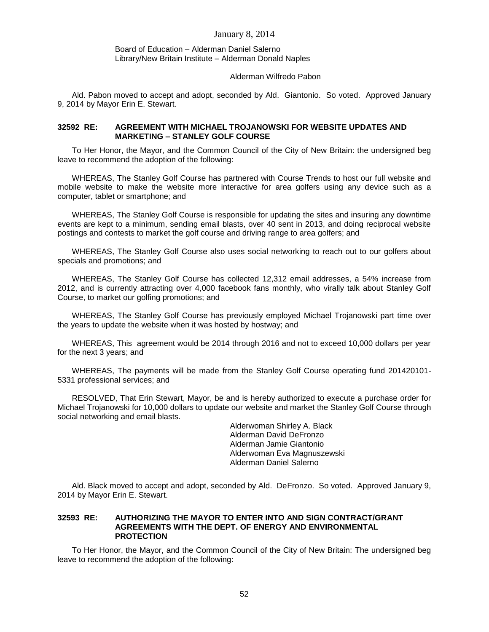#### Board of Education – Alderman Daniel Salerno Library/New Britain Institute – Alderman Donald Naples

#### Alderman Wilfredo Pabon

Ald. Pabon moved to accept and adopt, seconded by Ald. Giantonio. So voted. Approved January 9, 2014 by Mayor Erin E. Stewart.

### **32592 RE: AGREEMENT WITH MICHAEL TROJANOWSKI FOR WEBSITE UPDATES AND MARKETING – STANLEY GOLF COURSE**

To Her Honor, the Mayor, and the Common Council of the City of New Britain: the undersigned beg leave to recommend the adoption of the following:

WHEREAS, The Stanley Golf Course has partnered with Course Trends to host our full website and mobile website to make the website more interactive for area golfers using any device such as a computer, tablet or smartphone; and

WHEREAS, The Stanley Golf Course is responsible for updating the sites and insuring any downtime events are kept to a minimum, sending email blasts, over 40 sent in 2013, and doing reciprocal website postings and contests to market the golf course and driving range to area golfers; and

WHEREAS, The Stanley Golf Course also uses social networking to reach out to our golfers about specials and promotions; and

WHEREAS, The Stanley Golf Course has collected 12,312 email addresses, a 54% increase from 2012, and is currently attracting over 4,000 facebook fans monthly, who virally talk about Stanley Golf Course, to market our golfing promotions; and

WHEREAS, The Stanley Golf Course has previously employed Michael Trojanowski part time over the years to update the website when it was hosted by hostway; and

WHEREAS, This agreement would be 2014 through 2016 and not to exceed 10,000 dollars per year for the next 3 years; and

WHEREAS, The payments will be made from the Stanley Golf Course operating fund 201420101- 5331 professional services; and

RESOLVED, That Erin Stewart, Mayor, be and is hereby authorized to execute a purchase order for Michael Trojanowski for 10,000 dollars to update our website and market the Stanley Golf Course through social networking and email blasts.

> Alderwoman Shirley A. Black Alderman David DeFronzo Alderman Jamie Giantonio Alderwoman Eva Magnuszewski Alderman Daniel Salerno

Ald. Black moved to accept and adopt, seconded by Ald. DeFronzo. So voted. Approved January 9, 2014 by Mayor Erin E. Stewart.

#### **32593 RE: AUTHORIZING THE MAYOR TO ENTER INTO AND SIGN CONTRACT/GRANT AGREEMENTS WITH THE DEPT. OF ENERGY AND ENVIRONMENTAL PROTECTION**

To Her Honor, the Mayor, and the Common Council of the City of New Britain: The undersigned beg leave to recommend the adoption of the following: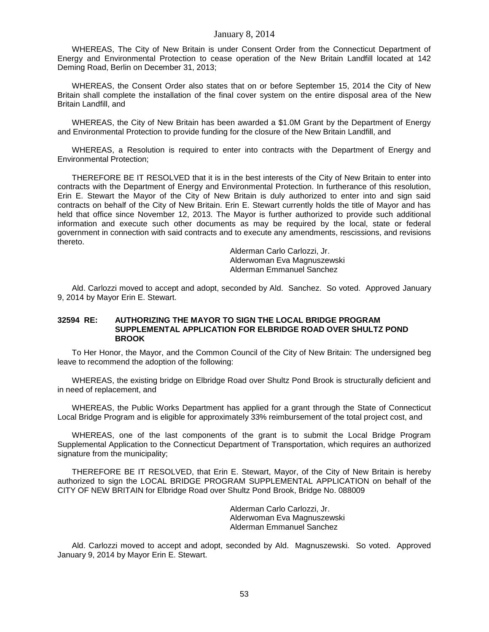WHEREAS, The City of New Britain is under Consent Order from the Connecticut Department of Energy and Environmental Protection to cease operation of the New Britain Landfill located at 142 Deming Road, Berlin on December 31, 2013;

WHEREAS, the Consent Order also states that on or before September 15, 2014 the City of New Britain shall complete the installation of the final cover system on the entire disposal area of the New Britain Landfill, and

WHEREAS, the City of New Britain has been awarded a \$1.0M Grant by the Department of Energy and Environmental Protection to provide funding for the closure of the New Britain Landfill, and

WHEREAS, a Resolution is required to enter into contracts with the Department of Energy and Environmental Protection;

THEREFORE BE IT RESOLVED that it is in the best interests of the City of New Britain to enter into contracts with the Department of Energy and Environmental Protection. In furtherance of this resolution, Erin E. Stewart the Mayor of the City of New Britain is duly authorized to enter into and sign said contracts on behalf of the City of New Britain. Erin E. Stewart currently holds the title of Mayor and has held that office since November 12, 2013. The Mayor is further authorized to provide such additional information and execute such other documents as may be required by the local, state or federal government in connection with said contracts and to execute any amendments, rescissions, and revisions thereto.

> Alderman Carlo Carlozzi, Jr. Alderwoman Eva Magnuszewski Alderman Emmanuel Sanchez

Ald. Carlozzi moved to accept and adopt, seconded by Ald. Sanchez. So voted. Approved January 9, 2014 by Mayor Erin E. Stewart.

#### **32594 RE: AUTHORIZING THE MAYOR TO SIGN THE LOCAL BRIDGE PROGRAM SUPPLEMENTAL APPLICATION FOR ELBRIDGE ROAD OVER SHULTZ POND BROOK**

To Her Honor, the Mayor, and the Common Council of the City of New Britain: The undersigned beg leave to recommend the adoption of the following:

WHEREAS, the existing bridge on Elbridge Road over Shultz Pond Brook is structurally deficient and in need of replacement, and

WHEREAS, the Public Works Department has applied for a grant through the State of Connecticut Local Bridge Program and is eligible for approximately 33% reimbursement of the total project cost, and

WHEREAS, one of the last components of the grant is to submit the Local Bridge Program Supplemental Application to the Connecticut Department of Transportation, which requires an authorized signature from the municipality;

THEREFORE BE IT RESOLVED, that Erin E. Stewart, Mayor, of the City of New Britain is hereby authorized to sign the LOCAL BRIDGE PROGRAM SUPPLEMENTAL APPLICATION on behalf of the CITY OF NEW BRITAIN for Elbridge Road over Shultz Pond Brook, Bridge No. 088009

> Alderman Carlo Carlozzi, Jr. Alderwoman Eva Magnuszewski Alderman Emmanuel Sanchez

Ald. Carlozzi moved to accept and adopt, seconded by Ald. Magnuszewski. So voted. Approved January 9, 2014 by Mayor Erin E. Stewart.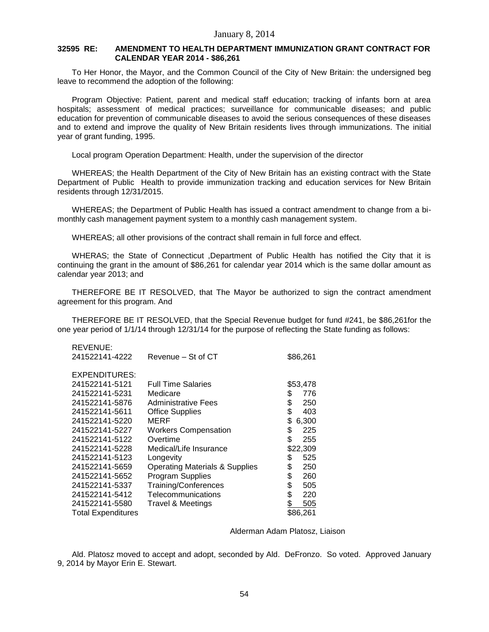## **32595 RE: AMENDMENT TO HEALTH DEPARTMENT IMMUNIZATION GRANT CONTRACT FOR CALENDAR YEAR 2014 - \$86,261**

To Her Honor, the Mayor, and the Common Council of the City of New Britain: the undersigned beg leave to recommend the adoption of the following:

Program Objective: Patient, parent and medical staff education; tracking of infants born at area hospitals; assessment of medical practices; surveillance for communicable diseases; and public education for prevention of communicable diseases to avoid the serious consequences of these diseases and to extend and improve the quality of New Britain residents lives through immunizations. The initial year of grant funding, 1995.

Local program Operation Department: Health, under the supervision of the director

WHEREAS; the Health Department of the City of New Britain has an existing contract with the State Department of Public Health to provide immunization tracking and education services for New Britain residents through 12/31/2015.

WHEREAS; the Department of Public Health has issued a contract amendment to change from a bimonthly cash management payment system to a monthly cash management system.

WHEREAS; all other provisions of the contract shall remain in full force and effect.

WHERAS; the State of Connecticut ,Department of Public Health has notified the City that it is continuing the grant in the amount of \$86,261 for calendar year 2014 which is the same dollar amount as calendar year 2013; and

THEREFORE BE IT RESOLVED, that The Mayor be authorized to sign the contract amendment agreement for this program. And

THEREFORE BE IT RESOLVED, that the Special Revenue budget for fund #241, be \$86,261for the one year period of 1/1/14 through 12/31/14 for the purpose of reflecting the State funding as follows:

| Revenue – St of CT                        | \$86,261               |
|-------------------------------------------|------------------------|
|                                           |                        |
|                                           |                        |
| <b>Full Time Salaries</b>                 | \$53,478               |
| Medicare                                  | \$<br>776              |
| Administrative Fees                       | \$<br>250              |
|                                           | \$<br>403              |
| MERF                                      | \$<br>6,300            |
| <b>Workers Compensation</b>               | \$<br>225              |
| Overtime                                  | \$<br>255              |
| Medical/Life Insurance                    | \$22,309               |
| Longevity                                 | \$<br>525              |
| <b>Operating Materials &amp; Supplies</b> | \$<br>250              |
| <b>Program Supplies</b>                   | \$<br>260              |
| Training/Conferences                      | \$<br>505              |
| Telecommunications                        | \$<br>220              |
| <b>Travel &amp; Meetings</b>              | \$<br>505              |
|                                           | \$86,261               |
|                                           | <b>Office Supplies</b> |

REVENUE:

#### Alderman Adam Platosz, Liaison

Ald. Platosz moved to accept and adopt, seconded by Ald. DeFronzo. So voted. Approved January 9, 2014 by Mayor Erin E. Stewart.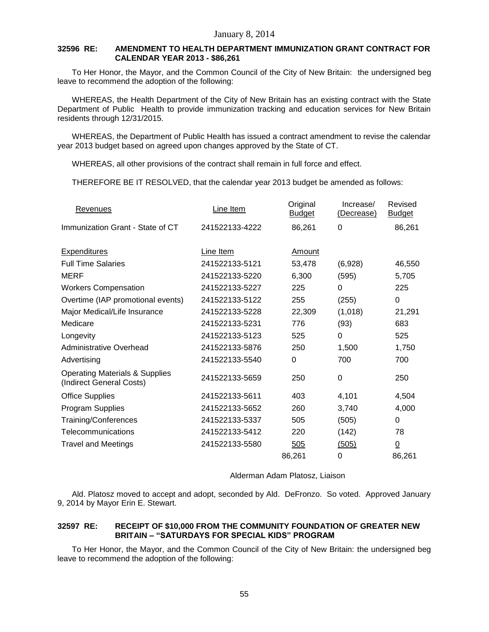## **32596 RE: AMENDMENT TO HEALTH DEPARTMENT IMMUNIZATION GRANT CONTRACT FOR CALENDAR YEAR 2013 - \$86,261**

To Her Honor, the Mayor, and the Common Council of the City of New Britain: the undersigned beg leave to recommend the adoption of the following:

WHEREAS, the Health Department of the City of New Britain has an existing contract with the State Department of Public Health to provide immunization tracking and education services for New Britain residents through 12/31/2015.

WHEREAS, the Department of Public Health has issued a contract amendment to revise the calendar year 2013 budget based on agreed upon changes approved by the State of CT.

WHEREAS, all other provisions of the contract shall remain in full force and effect.

THEREFORE BE IT RESOLVED, that the calendar year 2013 budget be amended as follows:

| Revenues                                                              | Line Item      | Original<br><b>Budget</b> | Increase/<br>(Decrease) | Revised<br><b>Budget</b> |
|-----------------------------------------------------------------------|----------------|---------------------------|-------------------------|--------------------------|
| Immunization Grant - State of CT                                      | 241522133-4222 | 86,261                    | 0                       | 86,261                   |
| <b>Expenditures</b>                                                   | Line Item      | Amount                    |                         |                          |
| <b>Full Time Salaries</b>                                             | 241522133-5121 | 53,478                    | (6,928)                 | 46,550                   |
| <b>MERF</b>                                                           | 241522133-5220 | 6,300                     | (595)                   | 5,705                    |
| <b>Workers Compensation</b>                                           | 241522133-5227 | 225                       | 0                       | 225                      |
| Overtime (IAP promotional events)                                     | 241522133-5122 | 255                       | (255)                   | 0                        |
| Major Medical/Life Insurance                                          | 241522133-5228 | 22,309                    | (1,018)                 | 21,291                   |
| Medicare                                                              | 241522133-5231 | 776                       | (93)                    | 683                      |
| Longevity                                                             | 241522133-5123 | 525                       | 0                       | 525                      |
| Administrative Overhead                                               | 241522133-5876 | 250                       | 1,500                   | 1,750                    |
| Advertising                                                           | 241522133-5540 | 0                         | 700                     | 700                      |
| <b>Operating Materials &amp; Supplies</b><br>(Indirect General Costs) | 241522133-5659 | 250                       | 0                       | 250                      |
| <b>Office Supplies</b>                                                | 241522133-5611 | 403                       | 4,101                   | 4,504                    |
| Program Supplies                                                      | 241522133-5652 | 260                       | 3,740                   | 4,000                    |
| Training/Conferences                                                  | 241522133-5337 | 505                       | (505)                   | 0                        |
| Telecommunications                                                    | 241522133-5412 | 220                       | (142)                   | 78                       |
| <b>Travel and Meetings</b>                                            | 241522133-5580 | 505                       | (505)                   | $\underline{0}$          |
|                                                                       |                | 86,261                    | 0                       | 86,261                   |

Alderman Adam Platosz, Liaison

Ald. Platosz moved to accept and adopt, seconded by Ald. DeFronzo. So voted. Approved January 9, 2014 by Mayor Erin E. Stewart.

## **32597 RE: RECEIPT OF \$10,000 FROM THE COMMUNITY FOUNDATION OF GREATER NEW BRITAIN – "SATURDAYS FOR SPECIAL KIDS" PROGRAM**

To Her Honor, the Mayor, and the Common Council of the City of New Britain: the undersigned beg leave to recommend the adoption of the following: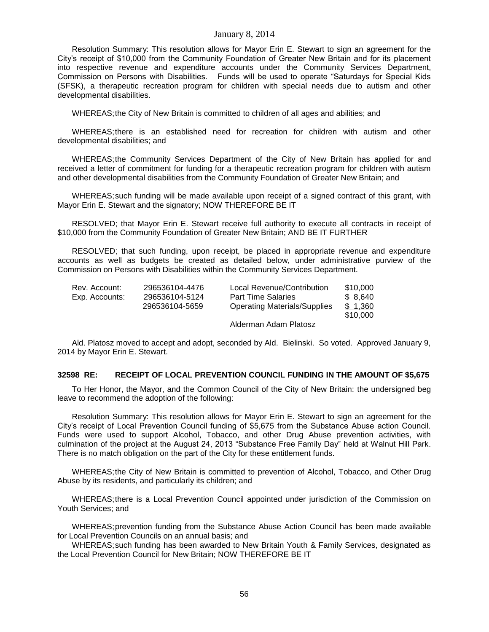Resolution Summary: This resolution allows for Mayor Erin E. Stewart to sign an agreement for the City's receipt of \$10,000 from the Community Foundation of Greater New Britain and for its placement into respective revenue and expenditure accounts under the Community Services Department, Commission on Persons with Disabilities. Funds will be used to operate "Saturdays for Special Kids (SFSK), a therapeutic recreation program for children with special needs due to autism and other developmental disabilities.

WHEREAS;the City of New Britain is committed to children of all ages and abilities; and

WHEREAS;there is an established need for recreation for children with autism and other developmental disabilities; and

WHEREAS;the Community Services Department of the City of New Britain has applied for and received a letter of commitment for funding for a therapeutic recreation program for children with autism and other developmental disabilities from the Community Foundation of Greater New Britain; and

WHEREAS;such funding will be made available upon receipt of a signed contract of this grant, with Mayor Erin E. Stewart and the signatory; NOW THEREFORE BE IT

RESOLVED; that Mayor Erin E. Stewart receive full authority to execute all contracts in receipt of \$10,000 from the Community Foundation of Greater New Britain; AND BE IT FURTHER

RESOLVED; that such funding, upon receipt, be placed in appropriate revenue and expenditure accounts as well as budgets be created as detailed below, under administrative purview of the Commission on Persons with Disabilities within the Community Services Department.

| Rev. Account:  | 296536104-4476 | Local Revenue/Contribution          | \$10,000 |
|----------------|----------------|-------------------------------------|----------|
| Exp. Accounts: | 296536104-5124 | <b>Part Time Salaries</b>           | \$ 8.640 |
|                | 296536104-5659 | <b>Operating Materials/Supplies</b> | \$1.360  |
|                |                |                                     | \$10.000 |

Alderman Adam Platosz

Ald. Platosz moved to accept and adopt, seconded by Ald. Bielinski. So voted. Approved January 9, 2014 by Mayor Erin E. Stewart.

#### **32598 RE: RECEIPT OF LOCAL PREVENTION COUNCIL FUNDING IN THE AMOUNT OF \$5,675**

To Her Honor, the Mayor, and the Common Council of the City of New Britain: the undersigned beg leave to recommend the adoption of the following:

Resolution Summary: This resolution allows for Mayor Erin E. Stewart to sign an agreement for the City's receipt of Local Prevention Council funding of \$5,675 from the Substance Abuse action Council. Funds were used to support Alcohol, Tobacco, and other Drug Abuse prevention activities, with culmination of the project at the August 24, 2013 "Substance Free Family Day" held at Walnut Hill Park. There is no match obligation on the part of the City for these entitlement funds.

WHEREAS;the City of New Britain is committed to prevention of Alcohol, Tobacco, and Other Drug Abuse by its residents, and particularly its children; and

WHEREAS;there is a Local Prevention Council appointed under jurisdiction of the Commission on Youth Services; and

WHEREAS;prevention funding from the Substance Abuse Action Council has been made available for Local Prevention Councils on an annual basis; and

WHEREAS;such funding has been awarded to New Britain Youth & Family Services, designated as the Local Prevention Council for New Britain; NOW THEREFORE BE IT